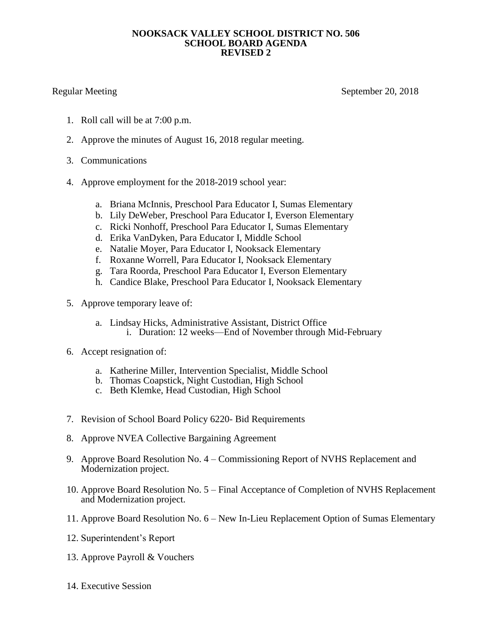## **NOOKSACK VALLEY SCHOOL DISTRICT NO. 506 SCHOOL BOARD AGENDA REVISED 2**

Regular Meeting September 20, 2018

- 1. Roll call will be at 7:00 p.m.
- 2. Approve the minutes of August 16, 2018 regular meeting.
- 3. Communications
- 4. Approve employment for the 2018-2019 school year:
	- a. Briana McInnis, Preschool Para Educator I, Sumas Elementary
	- b. Lily DeWeber, Preschool Para Educator I, Everson Elementary
	- c. Ricki Nonhoff, Preschool Para Educator I, Sumas Elementary
	- d. Erika VanDyken, Para Educator I, Middle School
	- e. Natalie Moyer, Para Educator I, Nooksack Elementary
	- f. Roxanne Worrell, Para Educator I, Nooksack Elementary
	- g. Tara Roorda, Preschool Para Educator I, Everson Elementary
	- h. Candice Blake, Preschool Para Educator I, Nooksack Elementary
- 5. Approve temporary leave of:
	- a. Lindsay Hicks, Administrative Assistant, District Office i. Duration: 12 weeks—End of November through Mid-February
- 6. Accept resignation of:
	- a. Katherine Miller, Intervention Specialist, Middle School
	- b. Thomas Coapstick, Night Custodian, High School
	- c. Beth Klemke, Head Custodian, High School
- 7. Revision of School Board Policy 6220- Bid Requirements
- 8. Approve NVEA Collective Bargaining Agreement
- 9. Approve Board Resolution No. 4 Commissioning Report of NVHS Replacement and Modernization project.
- 10. Approve Board Resolution No. 5 Final Acceptance of Completion of NVHS Replacement and Modernization project.
- 11. Approve Board Resolution No. 6 New In-Lieu Replacement Option of Sumas Elementary
- 12. Superintendent's Report
- 13. Approve Payroll & Vouchers
- 14. Executive Session